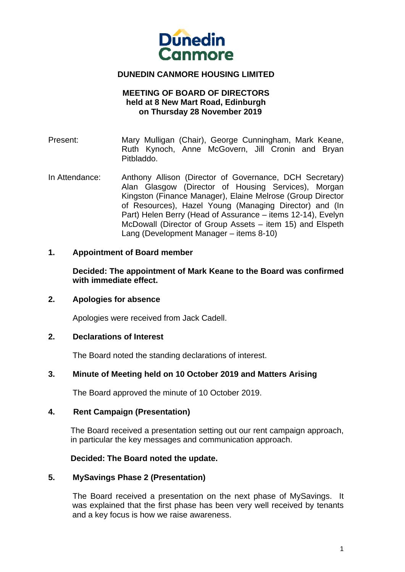

# **DUNEDIN CANMORE HOUSING LIMITED**

### **MEETING OF BOARD OF DIRECTORS held at 8 New Mart Road, Edinburgh on Thursday 28 November 2019**

- Present: Mary Mulligan (Chair), George Cunningham, Mark Keane, Ruth Kynoch, Anne McGovern, Jill Cronin and Bryan Pitbladdo.
- In Attendance: Anthony Allison (Director of Governance, DCH Secretary) Alan Glasgow (Director of Housing Services), Morgan Kingston (Finance Manager), Elaine Melrose (Group Director of Resources), Hazel Young (Managing Director) and (In Part) Helen Berry (Head of Assurance – items 12-14), Evelyn McDowall (Director of Group Assets – item 15) and Elspeth Lang (Development Manager – items 8-10)

### **1. Appointment of Board member**

**Decided: The appointment of Mark Keane to the Board was confirmed with immediate effect.** 

#### **2. Apologies for absence**

Apologies were received from Jack Cadell.

#### **2. Declarations of Interest**

The Board noted the standing declarations of interest.

#### **3. Minute of Meeting held on 10 October 2019 and Matters Arising**

The Board approved the minute of 10 October 2019.

#### **4. Rent Campaign (Presentation)**

The Board received a presentation setting out our rent campaign approach, in particular the key messages and communication approach.

#### **Decided: The Board noted the update.**

#### **5. MySavings Phase 2 (Presentation)**

The Board received a presentation on the next phase of MySavings. It was explained that the first phase has been very well received by tenants and a key focus is how we raise awareness.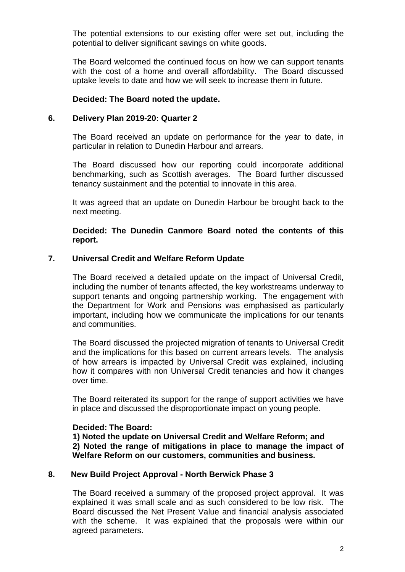The potential extensions to our existing offer were set out, including the potential to deliver significant savings on white goods.

The Board welcomed the continued focus on how we can support tenants with the cost of a home and overall affordability. The Board discussed uptake levels to date and how we will seek to increase them in future.

# **Decided: The Board noted the update.**

### **6. Delivery Plan 2019-20: Quarter 2**

The Board received an update on performance for the year to date, in particular in relation to Dunedin Harbour and arrears.

The Board discussed how our reporting could incorporate additional benchmarking, such as Scottish averages. The Board further discussed tenancy sustainment and the potential to innovate in this area.

It was agreed that an update on Dunedin Harbour be brought back to the next meeting.

**Decided: The Dunedin Canmore Board noted the contents of this report.** 

### **7. Universal Credit and Welfare Reform Update**

The Board received a detailed update on the impact of Universal Credit, including the number of tenants affected, the key workstreams underway to support tenants and ongoing partnership working. The engagement with the Department for Work and Pensions was emphasised as particularly important, including how we communicate the implications for our tenants and communities.

The Board discussed the projected migration of tenants to Universal Credit and the implications for this based on current arrears levels. The analysis of how arrears is impacted by Universal Credit was explained, including how it compares with non Universal Credit tenancies and how it changes over time.

The Board reiterated its support for the range of support activities we have in place and discussed the disproportionate impact on young people.

#### **Decided: The Board:**

**1) Noted the update on Universal Credit and Welfare Reform; and 2) Noted the range of mitigations in place to manage the impact of Welfare Reform on our customers, communities and business.** 

#### **8. New Build Project Approval - North Berwick Phase 3**

The Board received a summary of the proposed project approval. It was explained it was small scale and as such considered to be low risk. The Board discussed the Net Present Value and financial analysis associated with the scheme. It was explained that the proposals were within our agreed parameters.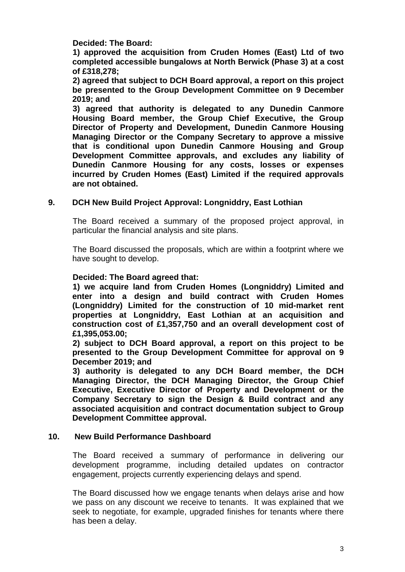**Decided: The Board:** 

**1) approved the acquisition from Cruden Homes (East) Ltd of two completed accessible bungalows at North Berwick (Phase 3) at a cost of £318,278;** 

**2) agreed that subject to DCH Board approval, a report on this project be presented to the Group Development Committee on 9 December 2019; and** 

**3) agreed that authority is delegated to any Dunedin Canmore Housing Board member, the Group Chief Executive, the Group Director of Property and Development, Dunedin Canmore Housing Managing Director or the Company Secretary to approve a missive that is conditional upon Dunedin Canmore Housing and Group Development Committee approvals, and excludes any liability of Dunedin Canmore Housing for any costs, losses or expenses incurred by Cruden Homes (East) Limited if the required approvals are not obtained.** 

# **9. DCH New Build Project Approval: Longniddry, East Lothian**

The Board received a summary of the proposed project approval, in particular the financial analysis and site plans.

The Board discussed the proposals, which are within a footprint where we have sought to develop.

# **Decided: The Board agreed that:**

**1) we acquire land from Cruden Homes (Longniddry) Limited and enter into a design and build contract with Cruden Homes (Longniddry) Limited for the construction of 10 mid-market rent properties at Longniddry, East Lothian at an acquisition and construction cost of £1,357,750 and an overall development cost of £1,395,053.00;** 

**2) subject to DCH Board approval, a report on this project to be presented to the Group Development Committee for approval on 9 December 2019; and** 

**3) authority is delegated to any DCH Board member, the DCH Managing Director, the DCH Managing Director, the Group Chief Executive, Executive Director of Property and Development or the Company Secretary to sign the Design & Build contract and any associated acquisition and contract documentation subject to Group Development Committee approval.** 

#### **10. New Build Performance Dashboard**

The Board received a summary of performance in delivering our development programme, including detailed updates on contractor engagement, projects currently experiencing delays and spend.

The Board discussed how we engage tenants when delays arise and how we pass on any discount we receive to tenants. It was explained that we seek to negotiate, for example, upgraded finishes for tenants where there has been a delay.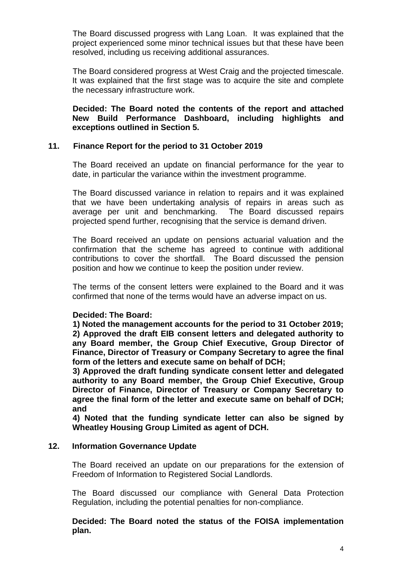The Board discussed progress with Lang Loan. It was explained that the project experienced some minor technical issues but that these have been resolved, including us receiving additional assurances.

The Board considered progress at West Craig and the projected timescale. It was explained that the first stage was to acquire the site and complete the necessary infrastructure work.

**Decided: The Board noted the contents of the report and attached New Build Performance Dashboard, including highlights and exceptions outlined in Section 5.** 

# **11. Finance Report for the period to 31 October 2019**

The Board received an update on financial performance for the year to date, in particular the variance within the investment programme.

The Board discussed variance in relation to repairs and it was explained that we have been undertaking analysis of repairs in areas such as average per unit and benchmarking. The Board discussed repairs projected spend further, recognising that the service is demand driven.

The Board received an update on pensions actuarial valuation and the confirmation that the scheme has agreed to continue with additional contributions to cover the shortfall. The Board discussed the pension position and how we continue to keep the position under review.

The terms of the consent letters were explained to the Board and it was confirmed that none of the terms would have an adverse impact on us.

#### **Decided: The Board:**

**1) Noted the management accounts for the period to 31 October 2019; 2) Approved the draft EIB consent letters and delegated authority to any Board member, the Group Chief Executive, Group Director of Finance, Director of Treasury or Company Secretary to agree the final form of the letters and execute same on behalf of DCH;** 

**3) Approved the draft funding syndicate consent letter and delegated authority to any Board member, the Group Chief Executive, Group Director of Finance, Director of Treasury or Company Secretary to agree the final form of the letter and execute same on behalf of DCH; and** 

**4) Noted that the funding syndicate letter can also be signed by Wheatley Housing Group Limited as agent of DCH.** 

#### **12. Information Governance Update**

The Board received an update on our preparations for the extension of Freedom of Information to Registered Social Landlords.

 The Board discussed our compliance with General Data Protection Regulation, including the potential penalties for non-compliance.

 **Decided: The Board noted the status of the FOISA implementation plan.**